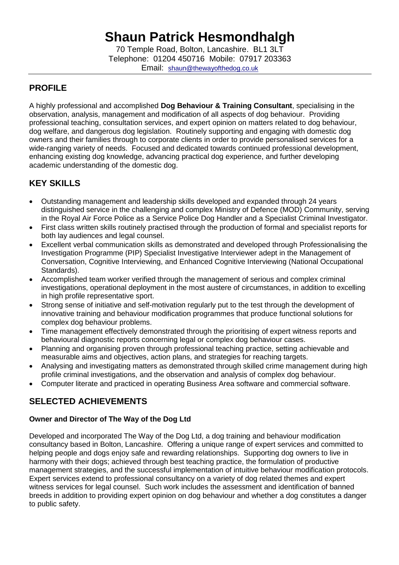# **Shaun Patrick Hesmondhalgh**

70 Temple Road, Bolton, Lancashire. BL1 3LT Telephone: 01204 450716 Mobile: 07917 203363 Email: [shaun@thewayofthedog.co.uk](mailto:shaun@thewayofthedog.co.uk)

## **PROFILE**

A highly professional and accomplished **Dog Behaviour & Training Consultant**, specialising in the observation, analysis, management and modification of all aspects of dog behaviour. Providing professional teaching, consultation services, and expert opinion on matters related to dog behaviour, dog welfare, and dangerous dog legislation. Routinely supporting and engaging with domestic dog owners and their families through to corporate clients in order to provide personalised services for a wide-ranging variety of needs. Focused and dedicated towards continued professional development, enhancing existing dog knowledge, advancing practical dog experience, and further developing academic understanding of the domestic dog.

## **KEY SKILLS**

- Outstanding management and leadership skills developed and expanded through 24 years distinguished service in the challenging and complex Ministry of Defence (MOD) Community, serving in the Royal Air Force Police as a Service Police Dog Handler and a Specialist Criminal Investigator.
- First class written skills routinely practised through the production of formal and specialist reports for both lay audiences and legal counsel.
- Excellent verbal communication skills as demonstrated and developed through Professionalising the Investigation Programme (PIP) Specialist Investigative Interviewer adept in the Management of Conversation, Cognitive Interviewing, and Enhanced Cognitive Interviewing (National Occupational Standards).
- Accomplished team worker verified through the management of serious and complex criminal investigations, operational deployment in the most austere of circumstances, in addition to excelling in high profile representative sport.
- Strong sense of initiative and self-motivation regularly put to the test through the development of innovative training and behaviour modification programmes that produce functional solutions for complex dog behaviour problems.
- Time management effectively demonstrated through the prioritising of expert witness reports and behavioural diagnostic reports concerning legal or complex dog behaviour cases.
- Planning and organising proven through professional teaching practice, setting achievable and measurable aims and objectives, action plans, and strategies for reaching targets.
- Analysing and investigating matters as demonstrated through skilled crime management during high profile criminal investigations, and the observation and analysis of complex dog behaviour.
- Computer literate and practiced in operating Business Area software and commercial software.

## **SELECTED ACHIEVEMENTS**

#### **Owner and Director of The Way of the Dog Ltd**

Developed and incorporated The Way of the Dog Ltd, a dog training and behaviour modification consultancy based in Bolton, Lancashire. Offering a unique range of expert services and committed to helping people and dogs enjoy safe and rewarding relationships. Supporting dog owners to live in harmony with their dogs; achieved through best teaching practice, the formulation of productive management strategies, and the successful implementation of intuitive behaviour modification protocols. Expert services extend to professional consultancy on a variety of dog related themes and expert witness services for legal counsel. Such work includes the assessment and identification of banned breeds in addition to providing expert opinion on dog behaviour and whether a dog constitutes a danger to public safety.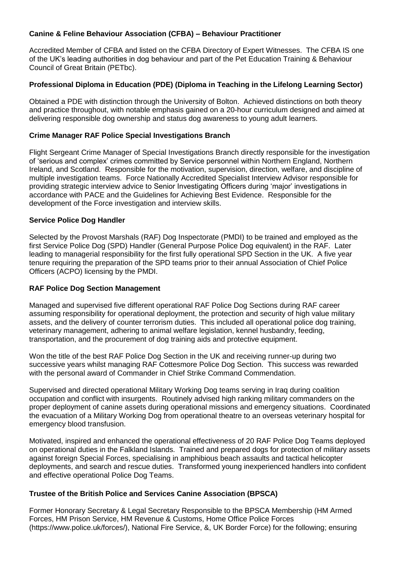#### **Canine & Feline Behaviour Association (CFBA) – Behaviour Practitioner**

Accredited Member of CFBA and listed on the CFBA Directory of Expert Witnesses. The CFBA IS one of the UK's leading authorities in dog behaviour and part of the Pet Education Training & Behaviour Council of Great Britain (PETbc).

#### **Professional Diploma in Education (PDE) (Diploma in Teaching in the Lifelong Learning Sector)**

Obtained a PDE with distinction through the University of Bolton. Achieved distinctions on both theory and practice throughout, with notable emphasis gained on a 20-hour curriculum designed and aimed at delivering responsible dog ownership and status dog awareness to young adult learners.

#### **Crime Manager RAF Police Special Investigations Branch**

Flight Sergeant Crime Manager of Special Investigations Branch directly responsible for the investigation of 'serious and complex' crimes committed by Service personnel within Northern England, Northern Ireland, and Scotland. Responsible for the motivation, supervision, direction, welfare, and discipline of multiple investigation teams. Force Nationally Accredited Specialist Interview Advisor responsible for providing strategic interview advice to Senior Investigating Officers during 'major' investigations in accordance with PACE and the Guidelines for Achieving Best Evidence. Responsible for the development of the Force investigation and interview skills.

#### **Service Police Dog Handler**

Selected by the Provost Marshals (RAF) Dog Inspectorate (PMDI) to be trained and employed as the first Service Police Dog (SPD) Handler (General Purpose Police Dog equivalent) in the RAF. Later leading to managerial responsibility for the first fully operational SPD Section in the UK. A five year tenure requiring the preparation of the SPD teams prior to their annual Association of Chief Police Officers (ACPO) licensing by the PMDI.

#### **RAF Police Dog Section Management**

Managed and supervised five different operational RAF Police Dog Sections during RAF career assuming responsibility for operational deployment, the protection and security of high value military assets, and the delivery of counter terrorism duties. This included all operational police dog training, veterinary management, adhering to animal welfare legislation, kennel husbandry, feeding, transportation, and the procurement of dog training aids and protective equipment.

Won the title of the best RAF Police Dog Section in the UK and receiving runner-up during two successive years whilst managing RAF Cottesmore Police Dog Section. This success was rewarded with the personal award of Commander in Chief Strike Command Commendation.

Supervised and directed operational Military Working Dog teams serving in Iraq during coalition occupation and conflict with insurgents. Routinely advised high ranking military commanders on the proper deployment of canine assets during operational missions and emergency situations. Coordinated the evacuation of a Military Working Dog from operational theatre to an overseas veterinary hospital for emergency blood transfusion.

Motivated, inspired and enhanced the operational effectiveness of 20 RAF Police Dog Teams deployed on operational duties in the Falkland Islands. Trained and prepared dogs for protection of military assets against foreign Special Forces, specialising in amphibious beach assaults and tactical helicopter deployments, and search and rescue duties. Transformed young inexperienced handlers into confident and effective operational Police Dog Teams.

#### **Trustee of the British Police and Services Canine Association (BPSCA)**

Former Honorary Secretary & Legal Secretary Responsible to the BPSCA Membership (HM Armed Forces, HM Prison Service, HM Revenue & Customs, Home Office Police Forces (https://www.police.uk/forces/), National Fire Service, &, UK Border Force) for the following; ensuring